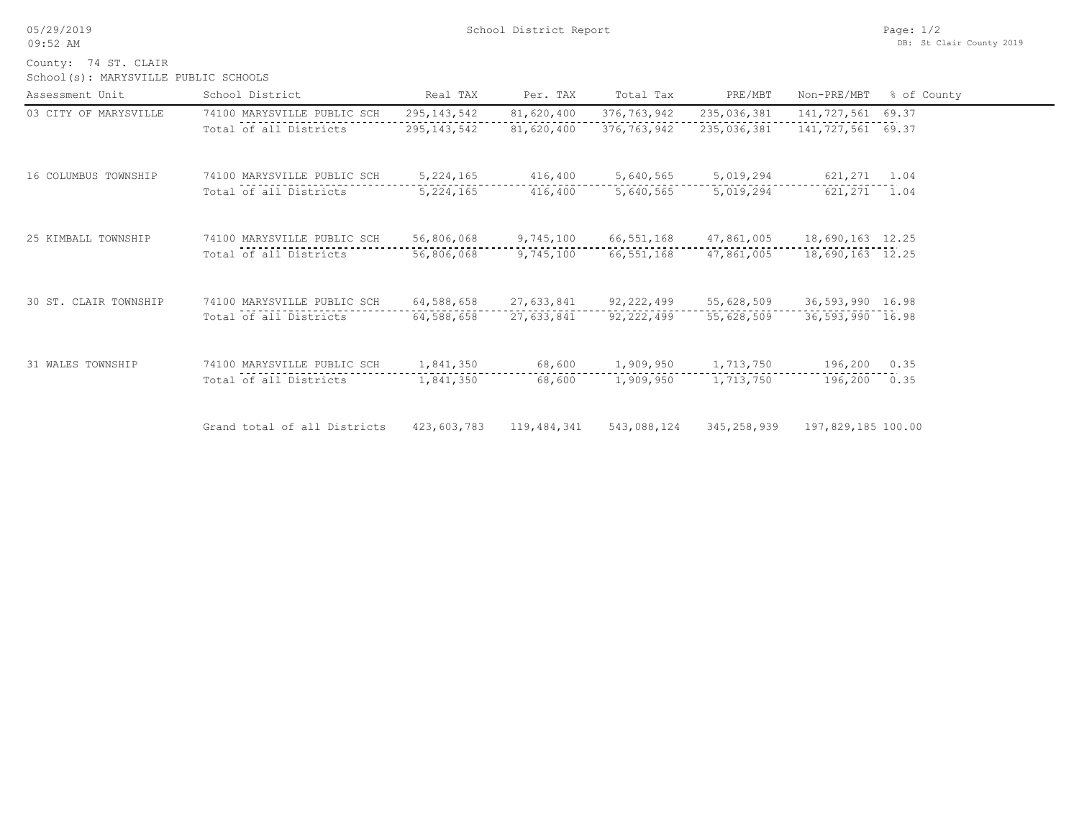05/29/2019 09:52 AM

School(s): MARYSVILLE PUBLIC SCHOOLS County: 74 ST. CLAIR

| Assessment Unit       | School District              | Real TAX      | Per. TAX    | Total Tax    | PRE/MBT       | Non-PRE/MBT         | % of County |
|-----------------------|------------------------------|---------------|-------------|--------------|---------------|---------------------|-------------|
| 03 CITY OF MARYSVILLE | 74100 MARYSVILLE PUBLIC SCH  | 295, 143, 542 | 81,620,400  | 376,763,942  | 235,036,381   | 141,727,561         | 69.37       |
|                       | Total of all Districts       | 295, 143, 542 | 81,620,400  | 376,763,942  | 235,036,381   | 141, 727, 561 69.37 |             |
| 16 COLUMBUS TOWNSHIP  | 74100 MARYSVILLE PUBLIC SCH  | 5, 224, 165   | 416,400     | 5,640,565    | 5,019,294     | 621,271 1.04        |             |
|                       | Total of all Districts       | 5, 224, 165   | 416,400     | 5,640,565    | 5,019,294     | 621,271             | 1.04        |
| 25 KIMBALL TOWNSHIP   | 74100 MARYSVILLE PUBLIC SCH  | 56,806,068    | 9,745,100   | 66, 551, 168 | 47,861,005    | 18,690,163 12.25    |             |
|                       | Total of all Districts       | 56,806,068    | 9,745,100   | 66,551,168   | 47,861,005    | 18,690,163 12.25    |             |
| 30 ST. CLAIR TOWNSHIP | 74100 MARYSVILLE PUBLIC SCH  | 64,588,658    | 27,633,841  | 92, 222, 499 | 55,628,509    | 36,593,990 16.98    |             |
|                       | Total of all Districts       | 64,588,658    | 27,633,841  | 92, 222, 499 | 55,628,509    | 36,593,990 16.98    |             |
| 31 WALES TOWNSHIP     | 74100 MARYSVILLE PUBLIC SCH  | 1,841,350     | 68,600      | 1,909,950    | 1,713,750     | 196,200             | 0.35        |
|                       | Total of all Districts       | 1,841,350     | 68,600      | 1,909,950    | 1,713,750     | 196,200             | 0.35        |
|                       | Grand total of all Districts | 423,603,783   | 119,484,341 | 543,088,124  | 345, 258, 939 | 197,829,185 100.00  |             |